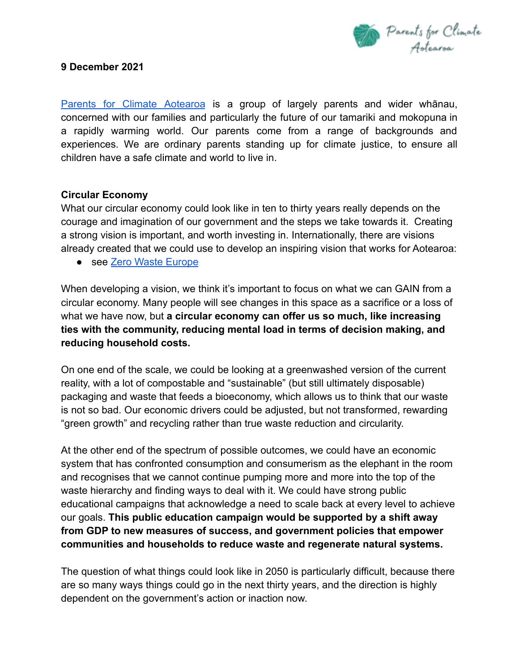

Parents for Climate [Aotearoa](https://www.parentsforclimatenz.org/) is a group of largely parents and wider whānau, concerned with our families and particularly the future of our tamariki and mokopuna in a rapidly warming world. Our parents come from a range of backgrounds and experiences. We are ordinary parents standing up for climate justice, to ensure all children have a safe climate and world to live in.

#### **Circular Economy**

What our circular economy could look like in ten to thirty years really depends on the courage and imagination of our government and the steps we take towards it. Creating a strong vision is important, and worth investing in. Internationally, there are visions already created that we could use to develop an inspiring vision that works for Aotearoa:

● see [Zero Waste Europe](https://zerowasteeurope.eu/wp-content/uploads/2020/07/zero_waste_europe_booklet_dare-to-imagine-a-better-future_en.pdf)

When developing a vision, we think it's important to focus on what we can GAIN from a circular economy. Many people will see changes in this space as a sacrifice or a loss of what we have now, but **a circular economy can offer us so much, like increasing ties with the community, reducing mental load in terms of decision making, and reducing household costs.**

On one end of the scale, we could be looking at a greenwashed version of the current reality, with a lot of compostable and "sustainable" (but still ultimately disposable) packaging and waste that feeds a bioeconomy, which allows us to think that our waste is not so bad. Our economic drivers could be adjusted, but not transformed, rewarding "green growth" and recycling rather than true waste reduction and circularity.

At the other end of the spectrum of possible outcomes, we could have an economic system that has confronted consumption and consumerism as the elephant in the room and recognises that we cannot continue pumping more and more into the top of the waste hierarchy and finding ways to deal with it. We could have strong public educational campaigns that acknowledge a need to scale back at every level to achieve our goals. **This public education campaign would be supported by a shift away from GDP to new measures of success, and government policies that empower communities and households to reduce waste and regenerate natural systems.**

The question of what things could look like in 2050 is particularly difficult, because there are so many ways things could go in the next thirty years, and the direction is highly dependent on the government's action or inaction now.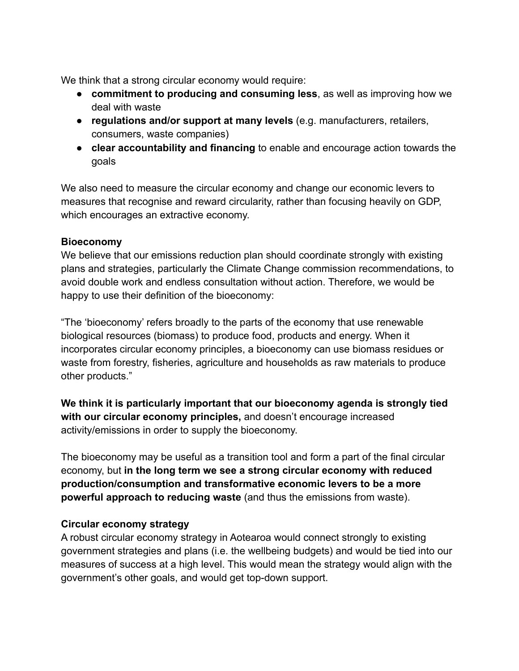We think that a strong circular economy would require:

- **commitment to producing and consuming less**, as well as improving how we deal with waste
- **regulations and/or support at many levels** (e.g. manufacturers, retailers, consumers, waste companies)
- **clear accountability and financing** to enable and encourage action towards the goals

We also need to measure the circular economy and change our economic levers to measures that recognise and reward circularity, rather than focusing heavily on GDP, which encourages an extractive economy.

#### **Bioeconomy**

We believe that our emissions reduction plan should coordinate strongly with existing plans and strategies, particularly the Climate Change commission recommendations, to avoid double work and endless consultation without action. Therefore, we would be happy to use their definition of the bioeconomy:

"The 'bioeconomy' refers broadly to the parts of the economy that use renewable biological resources (biomass) to produce food, products and energy. When it incorporates circular economy principles, a bioeconomy can use biomass residues or waste from forestry, fisheries, agriculture and households as raw materials to produce other products."

**We think it is particularly important that our bioeconomy agenda is strongly tied with our circular economy principles,** and doesn't encourage increased activity/emissions in order to supply the bioeconomy.

The bioeconomy may be useful as a transition tool and form a part of the final circular economy, but **in the long term we see a strong circular economy with reduced production/consumption and transformative economic levers to be a more powerful approach to reducing waste** (and thus the emissions from waste).

## **Circular economy strategy**

A robust circular economy strategy in Aotearoa would connect strongly to existing government strategies and plans (i.e. the wellbeing budgets) and would be tied into our measures of success at a high level. This would mean the strategy would align with the government's other goals, and would get top-down support.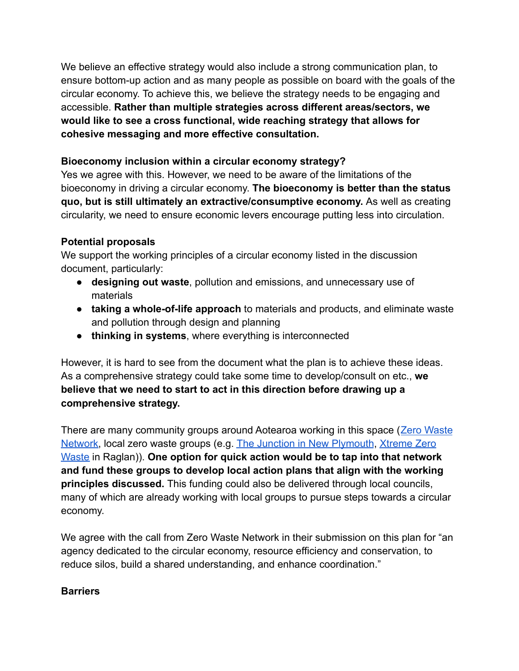We believe an effective strategy would also include a strong communication plan, to ensure bottom-up action and as many people as possible on board with the goals of the circular economy. To achieve this, we believe the strategy needs to be engaging and accessible. **Rather than multiple strategies across different areas/sectors, we would like to see a cross functional, wide reaching strategy that allows for cohesive messaging and more effective consultation.**

# **Bioeconomy inclusion within a circular economy strategy?**

Yes we agree with this. However, we need to be aware of the limitations of the bioeconomy in driving a circular economy. **The bioeconomy is better than the status quo, but is still ultimately an extractive/consumptive economy.** As well as creating circularity, we need to ensure economic levers encourage putting less into circulation.

# **Potential proposals**

We support the working principles of a circular economy listed in the discussion document, particularly:

- **designing out waste**, pollution and emissions, and unnecessary use of materials
- **taking a whole-of-life approach** to materials and products, and eliminate waste and pollution through design and planning
- **thinking in systems**, where everything is interconnected

However, it is hard to see from the document what the plan is to achieve these ideas. As a comprehensive strategy could take some time to develop/consult on etc., **we believe that we need to start to act in this direction before drawing up a comprehensive strategy.**

There are many community groups around Aotearoa working in this space ([Zero Waste](https://zerowaste.co.nz/) [Network](https://zerowaste.co.nz/), local zero waste groups (e.g. The Junction [in New Plymouth](https://www.sustainabletaranaki.org.nz/the-junction), [Xtreme Zero](https://xtremezerowaste.org.nz/) [Waste](https://xtremezerowaste.org.nz/) in Raglan)). **One option for quick action would be to tap into that network and fund these groups to develop local action plans that align with the working principles discussed.** This funding could also be delivered through local councils, many of which are already working with local groups to pursue steps towards a circular economy.

We agree with the call from Zero Waste Network in their submission on this plan for "an agency dedicated to the circular economy, resource efficiency and conservation, to reduce silos, build a shared understanding, and enhance coordination."

#### **Barriers**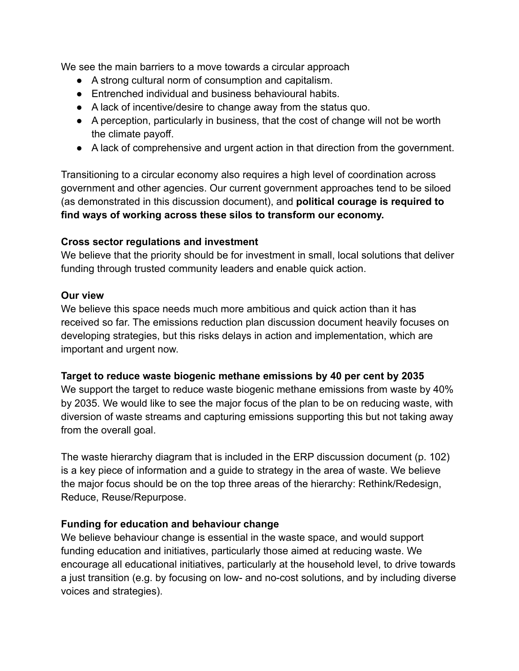We see the main barriers to a move towards a circular approach

- A strong cultural norm of consumption and capitalism.
- Entrenched individual and business behavioural habits.
- A lack of incentive/desire to change away from the status quo.
- A perception, particularly in business, that the cost of change will not be worth the climate payoff.
- A lack of comprehensive and urgent action in that direction from the government.

Transitioning to a circular economy also requires a high level of coordination across government and other agencies. Our current government approaches tend to be siloed (as demonstrated in this discussion document), and **political courage is required to find ways of working across these silos to transform our economy.**

## **Cross sector regulations and investment**

We believe that the priority should be for investment in small, local solutions that deliver funding through trusted community leaders and enable quick action.

#### **Our view**

We believe this space needs much more ambitious and quick action than it has received so far. The emissions reduction plan discussion document heavily focuses on developing strategies, but this risks delays in action and implementation, which are important and urgent now.

## **Target to reduce waste biogenic methane emissions by 40 per cent by 2035**

We support the target to reduce waste biogenic methane emissions from waste by 40% by 2035. We would like to see the major focus of the plan to be on reducing waste, with diversion of waste streams and capturing emissions supporting this but not taking away from the overall goal.

The waste hierarchy diagram that is included in the ERP discussion document (p. 102) is a key piece of information and a guide to strategy in the area of waste. We believe the major focus should be on the top three areas of the hierarchy: Rethink/Redesign, Reduce, Reuse/Repurpose.

## **Funding for education and behaviour change**

We believe behaviour change is essential in the waste space, and would support funding education and initiatives, particularly those aimed at reducing waste. We encourage all educational initiatives, particularly at the household level, to drive towards a just transition (e.g. by focusing on low- and no-cost solutions, and by including diverse voices and strategies).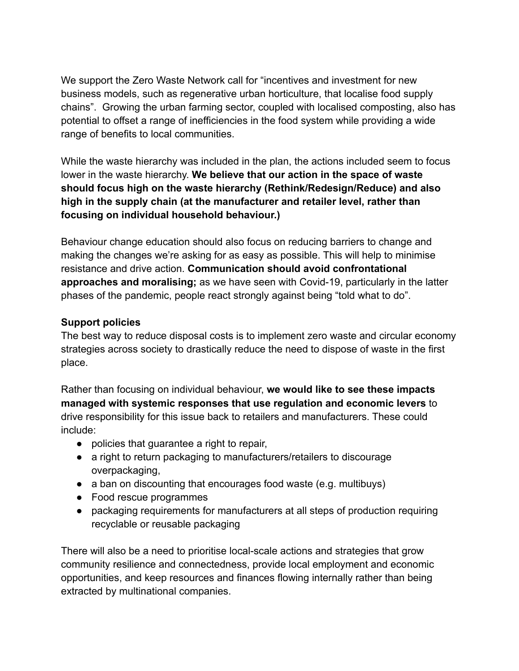We support the Zero Waste Network call for "incentives and investment for new business models, such as regenerative urban horticulture, that localise food supply chains". Growing the urban farming sector, coupled with localised composting, also has potential to offset a range of inefficiencies in the food system while providing a wide range of benefits to local communities.

While the waste hierarchy was included in the plan, the actions included seem to focus lower in the waste hierarchy. **We believe that our action in the space of waste should focus high on the waste hierarchy (Rethink/Redesign/Reduce) and also high in the supply chain (at the manufacturer and retailer level, rather than focusing on individual household behaviour.)**

Behaviour change education should also focus on reducing barriers to change and making the changes we're asking for as easy as possible. This will help to minimise resistance and drive action. **Communication should avoid confrontational approaches and moralising;** as we have seen with Covid-19, particularly in the latter phases of the pandemic, people react strongly against being "told what to do".

#### **Support policies**

The best way to reduce disposal costs is to implement zero waste and circular economy strategies across society to drastically reduce the need to dispose of waste in the first place.

Rather than focusing on individual behaviour, **we would like to see these impacts managed with systemic responses that use regulation and economic levers** to drive responsibility for this issue back to retailers and manufacturers. These could include:

- policies that guarantee a right to repair,
- a right to return packaging to manufacturers/retailers to discourage overpackaging,
- a ban on discounting that encourages food waste (e.g. multibuys)
- Food rescue programmes
- packaging requirements for manufacturers at all steps of production requiring recyclable or reusable packaging

There will also be a need to prioritise local-scale actions and strategies that grow community resilience and connectedness, provide local employment and economic opportunities, and keep resources and finances flowing internally rather than being extracted by multinational companies.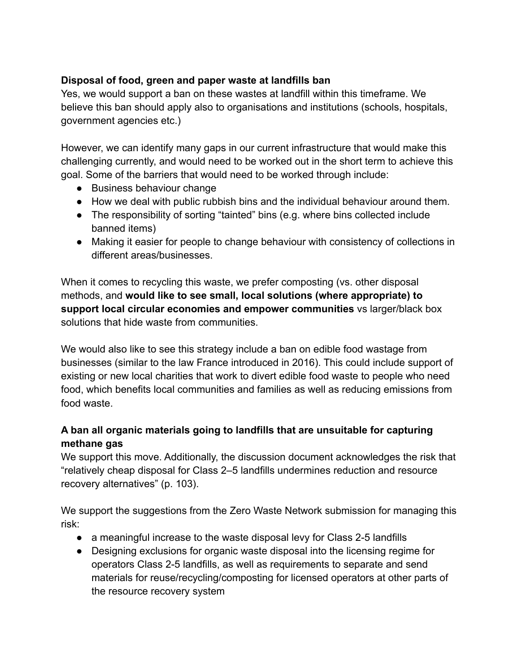# **Disposal of food, green and paper waste at landfills ban**

Yes, we would support a ban on these wastes at landfill within this timeframe. We believe this ban should apply also to organisations and institutions (schools, hospitals, government agencies etc.)

However, we can identify many gaps in our current infrastructure that would make this challenging currently, and would need to be worked out in the short term to achieve this goal. Some of the barriers that would need to be worked through include:

- Business behaviour change
- How we deal with public rubbish bins and the individual behaviour around them.
- The responsibility of sorting "tainted" bins (e.g. where bins collected include banned items)
- Making it easier for people to change behaviour with consistency of collections in different areas/businesses.

When it comes to recycling this waste, we prefer composting (vs. other disposal methods, and **would like to see small, local solutions (where appropriate) to support local circular economies and empower communities** vs larger/black box solutions that hide waste from communities.

We would also like to see this strategy include a ban on edible food wastage from businesses (similar to the law France introduced in 2016). This could include support of existing or new local charities that work to divert edible food waste to people who need food, which benefits local communities and families as well as reducing emissions from food waste.

# **A ban all organic materials going to landfills that are unsuitable for capturing methane gas**

We support this move. Additionally, the discussion document acknowledges the risk that "relatively cheap disposal for Class 2–5 landfills undermines reduction and resource recovery alternatives" (p. 103).

We support the suggestions from the Zero Waste Network submission for managing this risk:

- a meaningful increase to the waste disposal levy for Class 2-5 landfills
- Designing exclusions for organic waste disposal into the licensing regime for operators Class 2-5 landfills, as well as requirements to separate and send materials for reuse/recycling/composting for licensed operators at other parts of the resource recovery system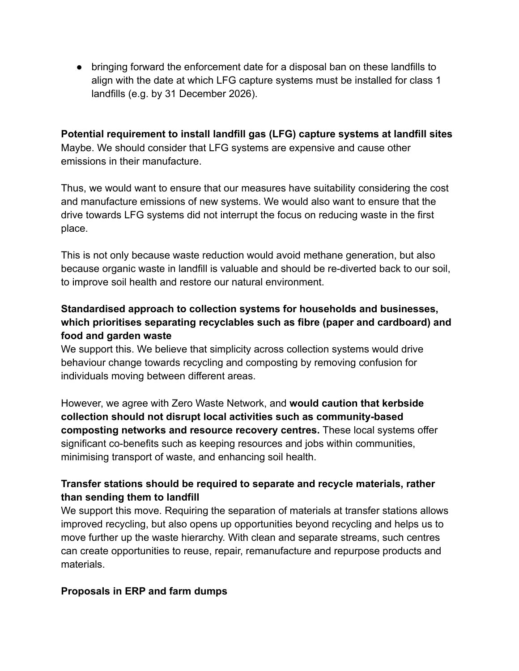● bringing forward the enforcement date for a disposal ban on these landfills to align with the date at which LFG capture systems must be installed for class 1 landfills (e.g. by 31 December 2026).

**Potential requirement to install landfill gas (LFG) capture systems at landfill sites** Maybe. We should consider that LFG systems are expensive and cause other emissions in their manufacture.

Thus, we would want to ensure that our measures have suitability considering the cost and manufacture emissions of new systems. We would also want to ensure that the drive towards LFG systems did not interrupt the focus on reducing waste in the first place.

This is not only because waste reduction would avoid methane generation, but also because organic waste in landfill is valuable and should be re-diverted back to our soil, to improve soil health and restore our natural environment.

# **Standardised approach to collection systems for households and businesses, which prioritises separating recyclables such as fibre (paper and cardboard) and food and garden waste**

We support this. We believe that simplicity across collection systems would drive behaviour change towards recycling and composting by removing confusion for individuals moving between different areas.

However, we agree with Zero Waste Network, and **would caution that kerbside collection should not disrupt local activities such as community-based composting networks and resource recovery centres.** These local systems offer significant co-benefits such as keeping resources and jobs within communities, minimising transport of waste, and enhancing soil health.

# **Transfer stations should be required to separate and recycle materials, rather than sending them to landfill**

We support this move. Requiring the separation of materials at transfer stations allows improved recycling, but also opens up opportunities beyond recycling and helps us to move further up the waste hierarchy. With clean and separate streams, such centres can create opportunities to reuse, repair, remanufacture and repurpose products and materials.

## **Proposals in ERP and farm dumps**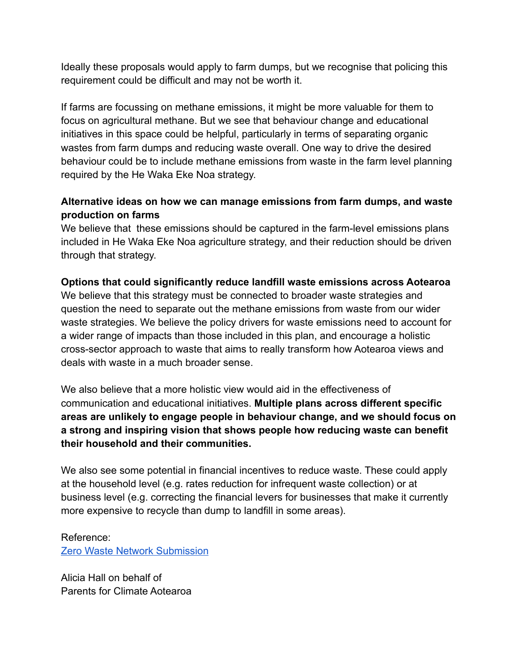Ideally these proposals would apply to farm dumps, but we recognise that policing this requirement could be difficult and may not be worth it.

If farms are focussing on methane emissions, it might be more valuable for them to focus on agricultural methane. But we see that behaviour change and educational initiatives in this space could be helpful, particularly in terms of separating organic wastes from farm dumps and reducing waste overall. One way to drive the desired behaviour could be to include methane emissions from waste in the farm level planning required by the He Waka Eke Noa strategy.

# **Alternative ideas on how we can manage emissions from farm dumps, and waste production on farms**

We believe that these emissions should be captured in the farm-level emissions plans included in He Waka Eke Noa agriculture strategy, and their reduction should be driven through that strategy.

## **Options that could significantly reduce landfill waste emissions across Aotearoa**

We believe that this strategy must be connected to broader waste strategies and question the need to separate out the methane emissions from waste from our wider waste strategies. We believe the policy drivers for waste emissions need to account for a wider range of impacts than those included in this plan, and encourage a holistic cross-sector approach to waste that aims to really transform how Aotearoa views and deals with waste in a much broader sense.

We also believe that a more holistic view would aid in the effectiveness of communication and educational initiatives. **Multiple plans across different specific areas are unlikely to engage people in behaviour change, and we should focus on a strong and inspiring vision that shows people how reducing waste can benefit their household and their communities.**

We also see some potential in financial incentives to reduce waste. These could apply at the household level (e.g. rates reduction for infrequent waste collection) or at business level (e.g. correcting the financial levers for businesses that make it currently more expensive to recycle than dump to landfill in some areas).

# Reference:

[Zero Waste Network Submission](https://docs.google.com/document/d/1WT3N7vaJo66AAd-1isPN64PzCon1cQj6VpU6RrvW06Q/edit#heading=h.73y58rglxo4u)

Alicia Hall on behalf of Parents for Climate Aotearoa